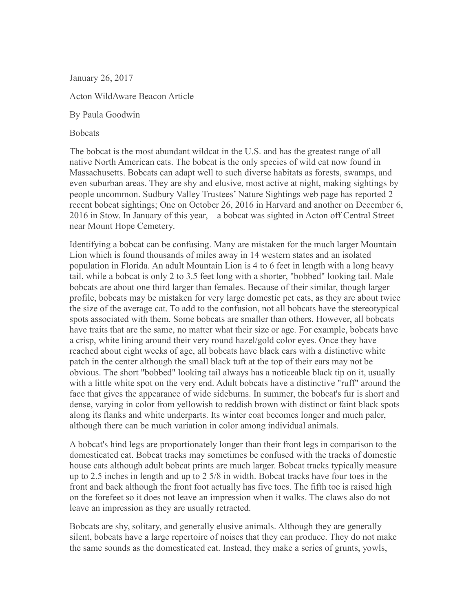January 26, 2017

Acton WildAware Beacon Article

By Paula Goodwin

**Bobcats** 

The bobcat is the most abundant wildcat in the U.S. and has the greatest range of all native North American cats. The bobcat is the only species of wild cat now found in Massachusetts. Bobcats can adapt well to such diverse habitats as forests, swamps, and even suburban areas. They are shy and elusive, most active at night, making sightings by people uncommon. Sudbury Valley Trustees' Nature Sightings web page has reported 2 recent bobcat sightings; One on October 26, 2016 in Harvard and another on December 6, 2016 in Stow. In January of this year, a bobcat was sighted in Acton off Central Street near Mount Hope Cemetery.

Identifying a bobcat can be confusing. Many are mistaken for the much larger Mountain Lion which is found thousands of miles away in 14 western states and an isolated population in Florida. An adult Mountain Lion is 4 to 6 feet in length with a long heavy tail, while a bobcat is only 2 to 3.5 feet long with a shorter, "bobbed" looking tail. Male bobcats are about one third larger than females. Because of their similar, though larger profile, bobcats may be mistaken for very large domestic pet cats, as they are about twice the size of the average cat. To add to the confusion, not all bobcats have the stereotypical spots associated with them. Some bobcats are smaller than others. However, all bobcats have traits that are the same, no matter what their size or age. For example, bobcats have a crisp, white lining around their very round hazel/gold color eyes. Once they have reached about eight weeks of age, all bobcats have black ears with a distinctive white patch in the center although the small black tuft at the top of their ears may not be obvious. The short "bobbed" looking tail always has a noticeable black tip on it, usually with a little white spot on the very end. Adult bobcats have a distinctive "ruff" around the face that gives the appearance of wide sideburns. In summer, the bobcat's fur is short and dense, varying in color from yellowish to reddish brown with distinct or faint black spots along its flanks and white underparts. Its winter coat becomes longer and much paler, although there can be much variation in color among individual animals.

A bobcat's hind legs are proportionately longer than their front legs in comparison to the domesticated cat. Bobcat tracks may sometimes be confused with the tracks of domestic house cats although adult bobcat prints are much larger. Bobcat tracks typically measure up to 2.5 inches in length and up to 2 5/8 in width. Bobcat tracks have four toes in the front and back although the front foot actually has five toes. The fifth toe is raised high on the forefeet so it does not leave an impression when it walks. The claws also do not leave an impression as they are usually retracted.

Bobcats are shy, solitary, and generally elusive animals.Although they are generally silent, bobcats have a large repertoire of noises that they can produce. They do not make the same sounds as the domesticated cat. Instead, they make a series of grunts, yowls,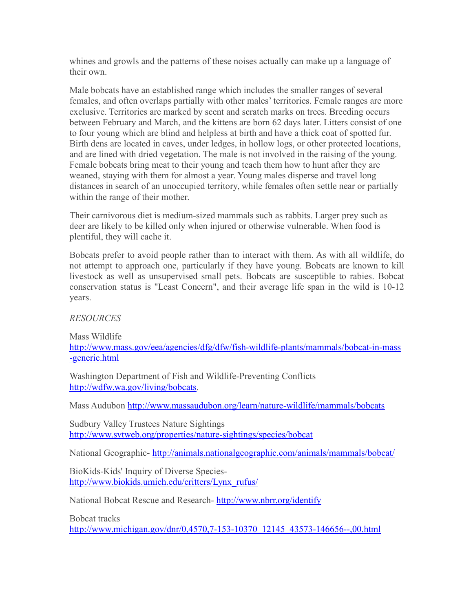whines and growls and the patterns of these noises actually can make up a language of their own.

Male bobcats have an established range which includes the smaller ranges of several females, and often overlaps partially with other males' territories. Female ranges are more exclusive. Territories are marked by scent and scratch marks on trees. Breeding occurs between February and March, and the kittens are born 62 days later. Litters consist of one to four young which are blind and helpless at birth and have a thick coat of spotted fur. Birth dens are located in caves, under ledges, in hollow logs, or other protected locations, and are lined with dried vegetation. The male is not involved in the raising of the young. Female bobcats bring meat to their young and teach them how to hunt after they are weaned, staying with them for almost a year. Young males disperse and travel long distances in search of an unoccupied territory, while females often settle near or partially within the range of their mother.

Their carnivorous diet is medium-sized mammals such as rabbits. Larger prey such as deer are likely to be killed only when injured or otherwise vulnerable. When food is plentiful, they will cache it.

Bobcats prefer to avoid people rather than to interact with them. As with all wildlife, do not attempt to approach one, particularly if they have young. Bobcats are known to kill livestock as well as unsupervised small pets. Bobcats are susceptible to rabies. Bobcat conservation status is "Least Concern", and their average life span in the wild is 10-12 years.

*RESOURCES*

Mass Wildlife [http://www.mass.gov/eea/agencies/dfg/dfw/fish-wildlife-plants/mammals/bobcat-in-mass](http://www.mass.gov/eea/agencies/dfg/dfw/fish-wildlife-plants/mammals/bobcat-in-mass-generic.html) [-generic.html](http://www.mass.gov/eea/agencies/dfg/dfw/fish-wildlife-plants/mammals/bobcat-in-mass-generic.html)

Washington Department of Fish and Wildlife-Preventing Conflicts <http://wdfw.wa.gov/living/bobcats>.

Mass Audubon <http://www.massaudubon.org/learn/nature-wildlife/mammals/bobcats>

Sudbury Valley Trustees Nature Sightings <http://www.svtweb.org/properties/nature-sightings/species/bobcat>

National Geographic- <http://animals.nationalgeographic.com/animals/mammals/bobcat/>

BioKids-Kids' Inquiry of Diverse Species [http://www.biokids.umich.edu/critters/Lynx\\_rufus/](http://www.biokids.umich.edu/critters/Lynx_rufus/)

National Bobcat Rescue and Research- <http://www.nbrr.org/identify>

Bobcat tracks

[http://www.michigan.gov/dnr/0,4570,7-153-10370\\_12145\\_43573-146656--,00.html](http://www.michigan.gov/dnr/0,4570,7-153-10370_12145_43573-146656--,00.html)